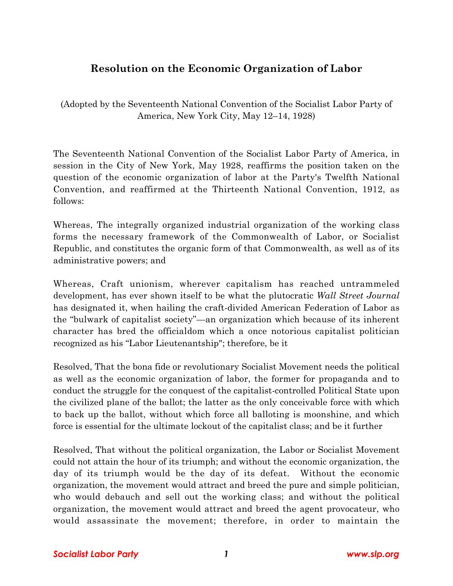## **Resolution on the Economic Organization of Labor**

(Adopted by the Seventeenth National Convention of the Socialist Labor Party of America, New York City, May 12–14, 1928)

The Seventeenth National Convention of the Socialist Labor Party of America, in session in the City of New York, May 1928, reaffirms the position taken on the question of the economic organization of labor at the Party's Twelfth National Convention, and reaffirmed at the Thirteenth National Convention, 1912, as follows:

Whereas, The integrally organized industrial organization of the working class forms the necessary framework of the Commonwealth of Labor, or Socialist Republic, and constitutes the organic form of that Commonwealth, as well as of its administrative powers; and

Whereas, Craft unionism, wherever capitalism has reached untrammeled development, has ever shown itself to be what the plutocratic *Wall Street Journal* has designated it, when hailing the craft-divided American Federation of Labor as the "bulwark of capitalist society"—an organization which because of its inherent character has bred the officialdom which a once notorious capitalist politician recognized as his "Labor Lieutenantship"; therefore, be it

Resolved, That the bona fide or revolutionary Socialist Movement needs the political as well as the economic organization of labor, the former for propaganda and to conduct the struggle for the conquest of the capitalist-controlled Political State upon the civilized plane of the ballot; the latter as the only conceivable force with which to back up the ballot, without which force all balloting is moonshine, and which force is essential for the ultimate lockout of the capitalist class; and be it further

Resolved, That without the political organization, the Labor or Socialist Movement could not attain the hour of its triumph; and without the economic organization, the day of its triumph would be the day of its defeat. Without the economic organization, the movement would attract and breed the pure and simple politician, who would debauch and sell out the working class; and without the political organization, the movement would attract and breed the agent provocateur, who would assassinate the movement; therefore, in order to maintain the